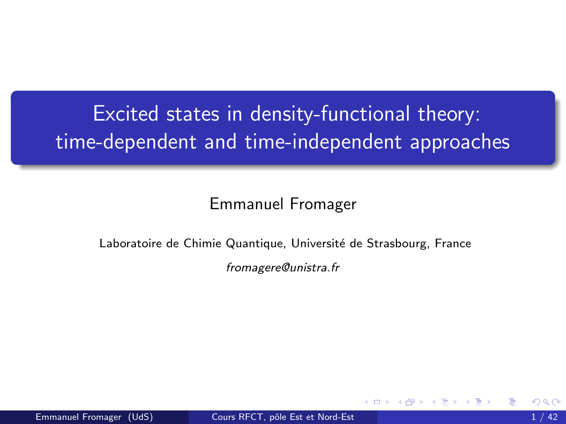# <span id="page-0-0"></span>Excited states in density-functional theory: time-dependent and time-independent approaches

#### Emmanuel Fromager

#### Laboratoire de Chimie Quantique, Université de Strasbourg, France

fromagere@unistra.fr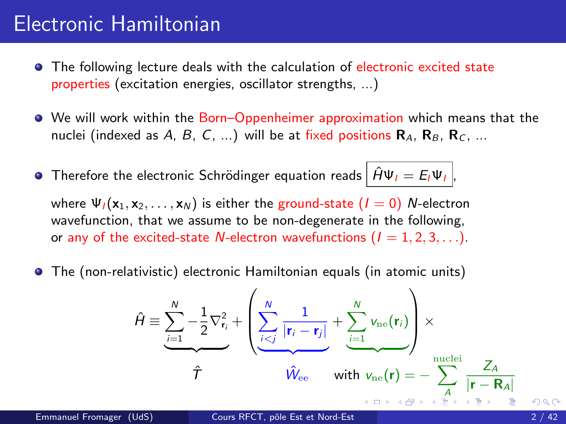## Electronic Hamiltonian

- **•** The following lecture deals with the calculation of electronic excited state properties (excitation energies, oscillator strengths, ...)
- We will work within the Born–Oppenheimer approximation which means that the nuclei (indexed as A, B, C, ...) will be at fixed positions  $\mathbf{R}_A$ ,  $\mathbf{R}_B$ ,  $\mathbf{R}_C$ , ...
- **•** Therefore the electronic Schrödinger equation reads  $|\hat{H}\Psi_I = E_I \Psi_I|$

where  $\Psi_1(\mathbf{x}_1, \mathbf{x}_2, \dots, \mathbf{x}_N)$  is either the ground-state  $(I = 0)$  N-electron wavefunction, that we assume to be non-degenerate in the following, or any of the excited-state N-electron wavefunctions  $(I = 1, 2, 3, ...)$ .

The (non-relativistic) electronic Hamiltonian equals (in atomic units)

$$
\hat{H} \equiv \underbrace{\sum_{i=1}^{N} -\frac{1}{2} \nabla_{\mathbf{r}_i}^2}_{\hat{T}} + \underbrace{\left(\sum_{i < j}^{N} \frac{1}{|\mathbf{r}_i - \mathbf{r}_j|} + \sum_{i=1}^{N} v_{\text{ne}}(\mathbf{r}_i) \right)}_{\hat{W}_{\text{ee}}} \times \underbrace{\sum_{\text{nuclei}}^{nuclei}}_{\text{with } v_{\text{ne}}(\mathbf{r})} \sum_{\substack{A \\ \text{a.e. } \hat{P} \text{ is a given}}} \frac{Z_A}{|\mathbf{r} - \mathbf{R}_A|} \times \underbrace{\sum_{\substack{A \\ \hat{P} \text{ is a given}}} \frac{1}{|\mathbf{r} - \mathbf{R}_A|} \times \underbrace{\sum_{\substack{A \\ \hat{P} \text{ is a given}}} \frac{1}{|\mathbf{r} - \mathbf{R}_A|} \times \underbrace{\sum_{\substack{A \\ \hat{P} \text{ is a given}}} \frac{1}{|\mathbf{r} - \mathbf{R}_A|} \times \underbrace{\sum_{\substack{A \\ \hat{P} \text{ is a given}}} \frac{1}{|\mathbf{r} - \mathbf{R}_A|} \times \underbrace{\sum_{\substack{A \\ \hat{P} \text{ is a given}}} \frac{1}{|\mathbf{r} - \mathbf{R}_A|} \times \underbrace{\sum_{\substack{A \\ \hat{P} \text{ is a given}}} \frac{1}{|\mathbf{r} - \mathbf{R}_A|} \times \underbrace{\sum_{\substack{A \\ \hat{P} \text{ is a given}}} \frac{1}{|\mathbf{r} - \mathbf{R}_A|} \times \underbrace{\sum_{\substack{A \\ \hat{P} \text{ is a given}}} \frac{1}{|\mathbf{r} - \mathbf{R}_A|} \times \underbrace{\sum_{\substack{A \\ \hat{P} \text{ is a given}}} \frac{1}{|\mathbf{r} - \mathbf{R}_A|} \times \underbrace{\sum_{\substack{A \\ \hat{P} \text{ is a given}}} \frac{1}{|\mathbf{r} - \mathbf{R}_A|} \times \underbrace{\sum_{\substack{A \\ \hat{P} \text{ is a given}}} \frac{1}{|\mathbf{r} - \mathbf{R}_A|} \times \underbrace{\sum_{\substack{A \\ \hat{P} \text{ is a given
$$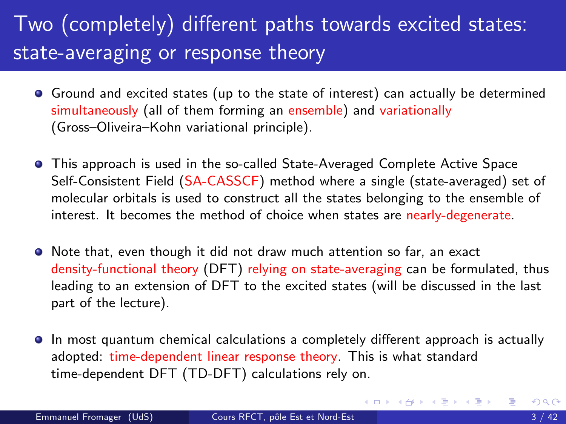# Two (completely) different paths towards excited states: state-averaging or response theory

- Ground and excited states (up to the state of interest) can actually be determined simultaneously (all of them forming an ensemble) and variationally (Gross–Oliveira–Kohn variational principle).
- This approach is used in the so-called State-Averaged Complete Active Space Self-Consistent Field (SA-CASSCF) method where a single (state-averaged) set of molecular orbitals is used to construct all the states belonging to the ensemble of interest. It becomes the method of choice when states are nearly-degenerate.
- Note that, even though it did not draw much attention so far, an exact density-functional theory (DFT) relying on state-averaging can be formulated, thus leading to an extension of DFT to the excited states (will be discussed in the last part of the lecture).
- In most quantum chemical calculations a completely different approach is actually adopted: time-dependent linear response theory. This is what standard time-dependent DFT (TD-DFT) calculations rely on.

K ロ ⊁ K 個 ≯ K 君 ⊁ K 君 ≯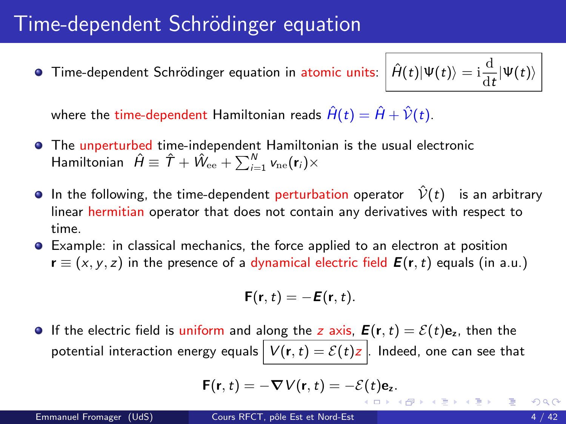<span id="page-3-0"></span>**Time-dependent Schrödinger equation in atomic units:** 

$$
\hat{H}(t)|\Psi(t)\rangle = \mathrm{i}\frac{\mathrm{d}}{\mathrm{d}t}|\Psi(t)\rangle
$$

where the time-dependent Hamiltonian reads  $\hat{H}(t) = \hat{H} + \hat{V}(t)$ .

- **•** The unperturbed time-independent Hamiltonian is the usual electronic Hamiltonian  $\;\hat{H}\equiv \;\hat{\mathcal{T}}+\hat{W}_{\mathrm{ee}}+\sum_{i=1}^{N} \mathsf{v}_{\mathrm{ne}}(\mathbf{r}_i)\times$
- **In the following, the time-dependent perturbation operator**  $\hat{V}(t)$  is an arbitrarv linear hermitian operator that does not contain any derivatives with respect to time.
- Example: in classical mechanics, the force applied to an electron at position  $\mathbf{r} \equiv (x, y, z)$  in the presence of a dynamical electric field  $\mathbf{E}(\mathbf{r}, t)$  equals (in a.u.)

$$
\mathbf{F}(\mathbf{r},t)=-\mathbf{E}(\mathbf{r},t).
$$

If the electric field is uniform and along the z axis,  $\mathbf{E}(\mathbf{r},t) = \mathcal{E}(t)\mathbf{e}_z$ , then the potential interaction energy equals  $V(r, t) = \mathcal{E}(t)z$ . Indeed, one can see that

$$
\mathsf{F}(\mathsf{r},t)=-\nabla V(\mathsf{r},t)=-\mathcal{E}(t)\mathsf{e}_z.
$$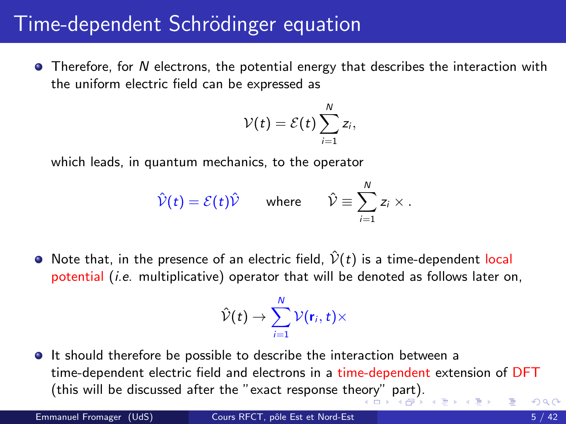<span id="page-4-0"></span> $\bullet$  Therefore, for N electrons, the potential energy that describes the interaction with the uniform electric field can be expressed as

$$
\mathcal{V}(t)=\mathcal{E}(t)\sum_{i=1}^N z_i,
$$

which leads, in quantum mechanics, to the operator

$$
\hat{\mathcal{V}}(t) = \mathcal{E}(t)\hat{\mathcal{V}}
$$
 where  $\hat{\mathcal{V}} \equiv \sum_{i=1}^{N} z_i \times$ .

• Note that, in the presence of an electric field,  $\hat{V}(t)$  is a time-dependent local potential (i.e. multiplicative) operator that will be denoted as follows later on,

$$
\hat{\mathcal{V}}(t)\rightarrow \sum_{i=1}^N \mathcal{V}(\mathbf{r}_i,t)\times
$$

**It should therefore be possible to describe the interaction between a** time-dependent electric field and electrons in a time-dependent extension of DFT (this will be discussed after the "exact response th[eor](#page-3-0)y["](#page-5-0) [pa](#page-3-0)[rt](#page-4-0)[\).](#page-5-0)  $\Omega$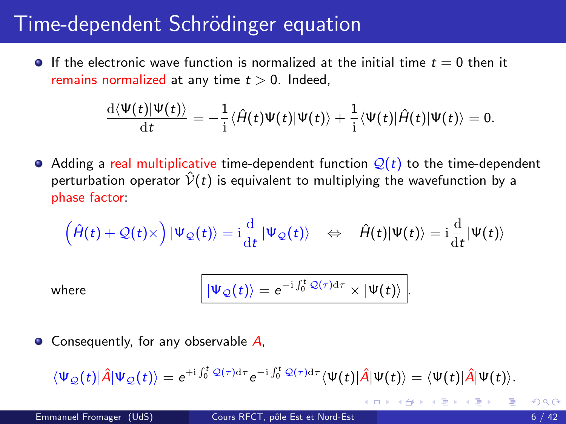<span id="page-5-0"></span>If the electronic wave function is normalized at the initial time  $t = 0$  then it remains normalized at any time  $t > 0$ . Indeed,

$$
\frac{\mathrm{d}\langle\Psi(t)|\Psi(t)\rangle}{\mathrm{d}t}=-\frac{1}{\mathrm{i}}\langle\hat{H}(t)\Psi(t)|\Psi(t)\rangle+\frac{1}{\mathrm{i}}\langle\Psi(t)|\hat{H}(t)|\Psi(t)\rangle=0.
$$

 $\bullet$  Adding a real multiplicative time-dependent function  $\mathcal{Q}(t)$  to the time-dependent perturbation operator  $\hat{V}(t)$  is equivalent to multiplying the wavefunction by a phase factor:

$$
\left(\hat{H}(t)+\mathcal{Q}(t)\times\right)|\Psi_{\mathcal{Q}}(t)\rangle=\mathrm{i}\frac{\mathrm{d}}{\mathrm{d}t}\left|\Psi_{\mathcal{Q}}(t)\right\rangle\quad\Leftrightarrow\quad\hat{H}(t)|\Psi(t)\rangle=\mathrm{i}\frac{\mathrm{d}}{\mathrm{d}t}|\Psi(t)\rangle
$$

where

$$
|\Psi_{\mathcal{Q}}(t)\rangle = e^{-i\int_0^t \mathcal{Q}(\tau)d\tau}\times |\Psi(t)\rangle.
$$

 $\bullet$  Consequently, for any observable A,

$$
\langle \Psi_{\mathcal{Q}}(t)|\hat{A}|\Psi_{\mathcal{Q}}(t)\rangle = e^{+i\int_0^t \mathcal{Q}(\tau)\mathrm{d}\tau} e^{-i\int_0^t \mathcal{Q}(\tau)\mathrm{d}\tau} \langle \Psi(t)|\hat{A}|\Psi(t)\rangle = \langle \Psi(t)|\hat{A}|\Psi(t)\rangle.
$$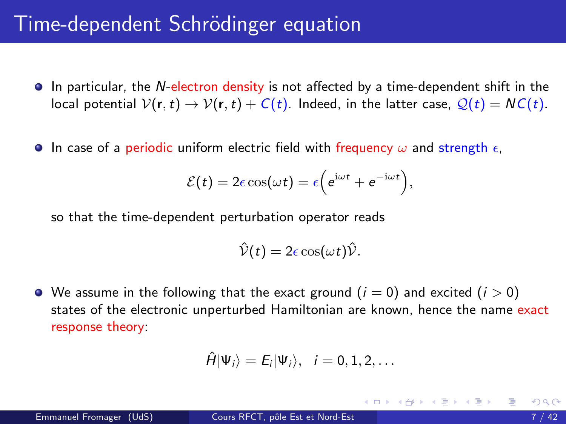- **In particular, the N-electron density is not affected by a time-dependent shift in the** local potential  $V(\mathbf{r},t) \to V(\mathbf{r},t) + C(t)$ . Indeed, in the latter case,  $Q(t) = NC(t)$ .
- **In case of a periodic uniform electric field with frequency**  $\omega$  **and strength**  $\epsilon$ **,**

$$
\mathcal{E}(t) = 2\epsilon \cos(\omega t) = \epsilon \left(e^{i\omega t} + e^{-i\omega t}\right),
$$

so that the time-dependent perturbation operator reads

$$
\hat{\mathcal{V}}(t)=2\epsilon\cos(\omega t)\hat{\mathcal{V}}.
$$

 $\bullet$  We assume in the following that the exact ground  $(i = 0)$  and excited  $(i > 0)$ states of the electronic unperturbed Hamiltonian are known, hence the name exact response theory:

$$
\hat{H}|\Psi_i\rangle = E_i|\Psi_i\rangle, \quad i=0,1,2,\ldots
$$

イロト イ押ト イヨト イヨト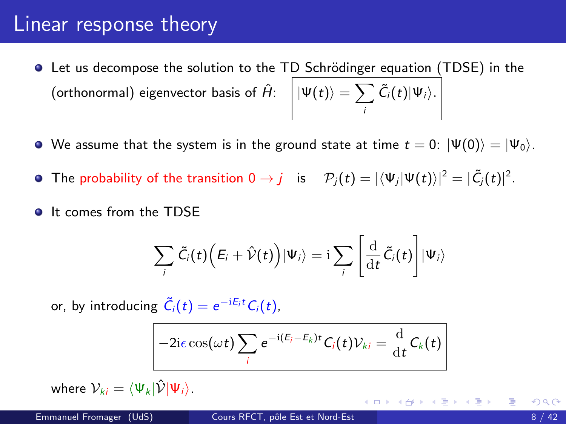- **•** Let us decompose the solution to the TD Schrödinger equation (TDSE) in the (orthonormal) eigenvector basis of  $\hat{H}$ :  $\big| \ket{\Psi(t)} = \sum_{i=1}^N \frac{1}{2}$ i  $\tilde{C}_i(t)|\Psi_i\rangle.$
- We assume that the system is in the ground state at time  $t = 0$ :  $|\Psi(0)\rangle = |\Psi_0\rangle$ .
- The probability of the transition  $0\to j$   $\;$  is  $\;$   $\mathcal{P}_j(t)=|\langle \Psi_j|\Psi(t)\rangle|^2=|\tilde{C}_j(t)|^2.$
- **It comes from the TDSF**

$$
\sum_{i} \tilde{C}_{i}(t) \Big( E_{i} + \hat{\mathcal{V}}(t) \Big) |\Psi_{i}\rangle = \mathrm{i} \sum_{i} \left[ \frac{\mathrm{d}}{\mathrm{d}t} \tilde{C}_{i}(t) \right] |\Psi_{i}\rangle
$$

or, by introducing  $\tilde{C}_i(t) = e^{-iE_i t} C_i(t)$ ,

$$
-2i\epsilon\cos(\omega t)\sum_i e^{-i(E_i-E_k)t}C_i(t)\mathcal{V}_{ki}=\frac{\mathrm{d}}{\mathrm{d}t}C_k(t)
$$

where  $V_{ki} = \langle \Psi_k | \hat{V} | \Psi_i \rangle$ .

造入 (語) (語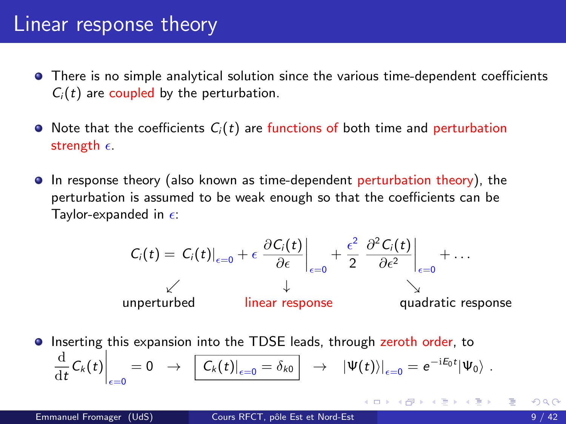- There is no simple analytical solution since the various time-dependent coefficients  $C_i(t)$  are coupled by the perturbation.
- $\bullet$  Note that the coefficients  $C_i(t)$  are functions of both time and perturbation strength  $\epsilon$ .
- In response theory (also known as time-dependent perturbation theory), the perturbation is assumed to be weak enough so that the coefficients can be Taylor-expanded in  $\epsilon$ :

$$
C_i(t) = C_i(t)|_{\epsilon=0} + \epsilon \left. \frac{\partial C_i(t)}{\partial \epsilon} \right|_{\epsilon=0} + \frac{\epsilon^2}{2} \left. \frac{\partial^2 C_i(t)}{\partial \epsilon^2} \right|_{\epsilon=0} + \dots
$$
\n
$$
\downarrow
$$
\n
$$
\downarrow
$$
\n
$$
\downarrow
$$
\n
$$
\downarrow
$$
\n
$$
\downarrow
$$
\n
$$
\downarrow
$$
\n
$$
\downarrow
$$
\n
$$
\downarrow
$$
\n
$$
\downarrow
$$
\n
$$
\downarrow
$$
\n
$$
\downarrow
$$
\n
$$
\downarrow
$$
\n
$$
\downarrow
$$
\n
$$
\downarrow
$$
\n
$$
\downarrow
$$
\n
$$
\downarrow
$$
\n
$$
\downarrow
$$
\n
$$
\downarrow
$$
\n
$$
\downarrow
$$
\n
$$
\downarrow
$$
\n
$$
\downarrow
$$
\n
$$
\downarrow
$$
\n
$$
\downarrow
$$
\n
$$
\downarrow
$$
\n
$$
\downarrow
$$
\n
$$
\downarrow
$$
\n
$$
\downarrow
$$
\n
$$
\downarrow
$$
\n
$$
\downarrow
$$
\n
$$
\downarrow
$$
\n
$$
\downarrow
$$
\n
$$
\downarrow
$$
\n
$$
\downarrow
$$
\n
$$
\downarrow
$$
\n
$$
\downarrow
$$
\n
$$
\downarrow
$$
\n
$$
\downarrow
$$
\n
$$
\downarrow
$$
\n
$$
\downarrow
$$
\n
$$
\downarrow
$$
\n
$$
\downarrow
$$
\n
$$
\downarrow
$$
\n
$$
\downarrow
$$
\n
$$
\downarrow
$$
\n
$$
\downarrow
$$
\n
$$
\downarrow
$$
\n
$$
\downarrow
$$
\n
$$
\downarrow
$$
\n
$$
\downarrow
$$
\n
$$
\downarrow
$$
\n
$$
\downarrow
$$
\n
$$
\downarrow
$$
\n
$$
\downarrow
$$
\n
$$
\downarrow
$$
\n
$$
\downarrow
$$
\n
$$
\downarrow
$$

**Inserting this expansion into the TDSE leads, through zeroth order, to** d  $\left.\frac{\mathrm{d}}{\mathrm{d}t}\mathcal{C}_k(t)\right|_{\epsilon=0}=0\;\;\rightarrow\;\;\left[\left.\mathcal{C}_k(t)\right|_{\epsilon=0}=\delta_{k0}\right]\;\;\rightarrow\;\;\left|\mathsf{\Psi}(t)\right\rangle\right|_{\epsilon=0}=e^{-\mathrm{i}\mathcal{E}_0 t}|\mathsf{\Psi}_0\rangle\;.$ 

K ロ ▶ K 倒 ▶ K 듣 ▶ K 듣 ▶ ...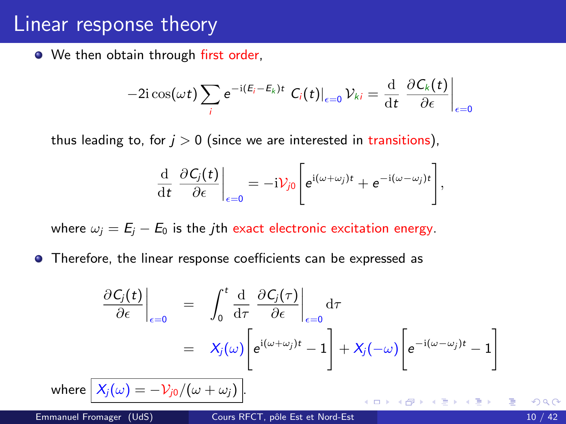• We then obtain through first order,

$$
-2\mathrm{i}\cos(\omega t)\sum_i e^{-\mathrm{i}(E_i-E_k)t} C_i(t)|_{\epsilon=0} \mathcal{V}_{ki} = \frac{\mathrm{d}}{\mathrm{d}t} \left.\frac{\partial C_k(t)}{\partial \epsilon}\right|_{\epsilon=0}
$$

thus leading to, for  $j > 0$  (since we are interested in transitions),

$$
\frac{\mathrm{d}}{\mathrm{d}t}\left.\frac{\partial C_j(t)}{\partial \epsilon}\right|_{\epsilon=0}=-i\mathcal{V}_{j0}\left[e^{\mathrm{i}(\omega+\omega_j)t}+e^{-\mathrm{i}(\omega-\omega_j)t}\right],
$$

where  $\omega_i = E_i - E_0$  is the *j*th exact electronic excitation energy.

**•** Therefore, the linear response coefficients can be expressed as

$$
\frac{\partial C_j(t)}{\partial \epsilon}\Big|_{\epsilon=0} = \int_0^t \frac{d}{d\tau} \frac{\partial C_j(\tau)}{\partial \epsilon}\Big|_{\epsilon=0} d\tau
$$
  

$$
= X_j(\omega) \Bigg[ e^{i(\omega + \omega_j)t} - 1 \Bigg] + X_j(-\omega) \Bigg[ e^{-i(\omega - \omega_j)t} - 1 \Bigg]
$$

4 0 3 4

where  $\left[X_j(\omega) = -\mathcal{V}_{j0}/(\omega + \omega_j)\right]$ .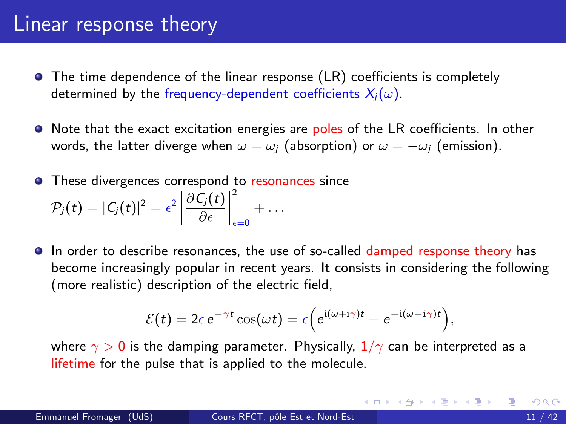- The time dependence of the linear response (LR) coefficients is completely determined by the frequency-dependent coefficients  $X_i(\omega)$ .
- Note that the exact excitation energies are poles of the LR coefficients. In other words, the latter diverge when  $\omega = \omega_i$  (absorption) or  $\omega = -\omega_i$  (emission).
- **•** These divergences correspond to resonances since  $\mathcal{P}_j(t) = |C_j(t)|^2 = \epsilon^2$  $\partial\mathcal{C}_j(t)$ ∂  $\begin{array}{c} \begin{array}{c} \begin{array}{c} \end{array} \\ \begin{array}{c} \end{array} \end{array} \end{array}$ 2  $_{\epsilon=0}$  $+ \dots$
- In order to describe resonances, the use of so-called damped response theory has become increasingly popular in recent years. It consists in considering the following (more realistic) description of the electric field,

$$
\mathcal{E}(t) = 2\epsilon e^{-\gamma t} \cos(\omega t) = \epsilon \Big(e^{i(\omega + i\gamma)t} + e^{-i(\omega - i\gamma)t}\Big),
$$

where  $\gamma > 0$  is the damping parameter. Physically,  $1/\gamma$  can be interpreted as a lifetime for the pulse that is applied to the molecule.

イロト イ母 トイミト イミト ニヨー りんぴ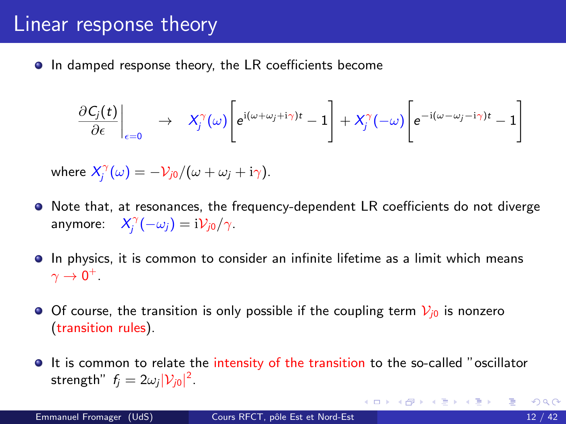• In damped response theory, the LR coefficients become

$$
\left.\frac{\partial C_j(t)}{\partial \epsilon}\right|_{\epsilon=0} \rightarrow X_j^{\gamma}(\omega)\left[e^{i(\omega+\omega_j+i\gamma)t}-1\right]+X_j^{\gamma}(-\omega)\left[e^{-i(\omega-\omega_j-i\gamma)t}-1\right]
$$

where  $\mathcal{X}_{j}^{\gamma}(\omega) = -\mathcal{V}_{j0}/(\omega + \omega_j + i\gamma)$ .

- Note that, at resonances, the frequency-dependent LR coefficients do not diverge anymore:  $X_j^{\gamma}(-\omega_j) = i \mathcal{V}_{j0}/\gamma$ .
- In physics, it is common to consider an infinite lifetime as a limit which means  $\gamma\rightarrow 0^+$  .
- Of course, the transition is only possible if the coupling term  $V_{i0}$  is nonzero (transition rules).
- It is common to relate the intensity of the transition to the so-called "oscillator strength"  $f_j = 2\omega_j |\mathcal{V}_{j0}|^2$ .

 $\equiv$ 

イロト イ押 トイヨ トイヨ トー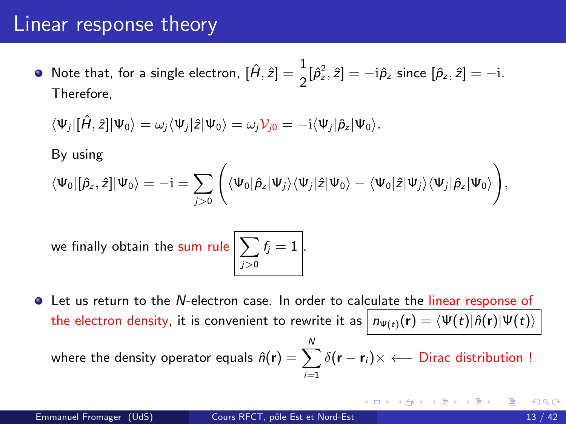Note that, for a single electron,  $[\hat{H}, \hat{z}] = \frac{1}{2} [\hat{\rho}_z^2, \hat{z}] = -\mathrm{i} \hat{\rho}_z$  since  $[\hat{\rho}_z, \hat{z}] = -\mathrm{i}$ . Therefore,

$$
\langle\Psi_j|[\hat{H},\hat{z}]|\Psi_0\rangle=\omega_j\langle\Psi_j|\hat{z}|\Psi_0\rangle=\omega_j\mathcal{V}_{j0}=-i\langle\Psi_j|\hat{\rho}_z|\Psi_0\rangle.
$$

By using

$$
\langle\Psi_0|[\hat{\rho}_z,\hat{z}]|\Psi_0\rangle=-i=\sum_{j>0}\Bigg(\langle\Psi_0|\hat{\rho}_z|\Psi_j\rangle\langle\Psi_j|\hat{z}|\Psi_0\rangle-\langle\Psi_0|\hat{z}|\Psi_j\rangle\langle\Psi_j|\hat{\rho}_z|\Psi_0\rangle\Bigg),
$$

we finally obtain the sum rul

$$
\mathsf{le}\left[\sum_{j>0}f_j=1\right].
$$

Let us return to the N-electron case. In order to calculate the linear response of the electron density, it is convenient to rewrite it as  $n_{\Psi(t)}(\mathbf{r}) = \langle \Psi(t) | \hat{n}(\mathbf{r}) | \Psi(t) \rangle$ 

where the density operator equals  $\hat{n}({\bf r})=\sum_{i=1}^{N}\delta({\bf r}-{\bf r}_{i})\times\longleftarrow$  Dirac distribution !  $i=1$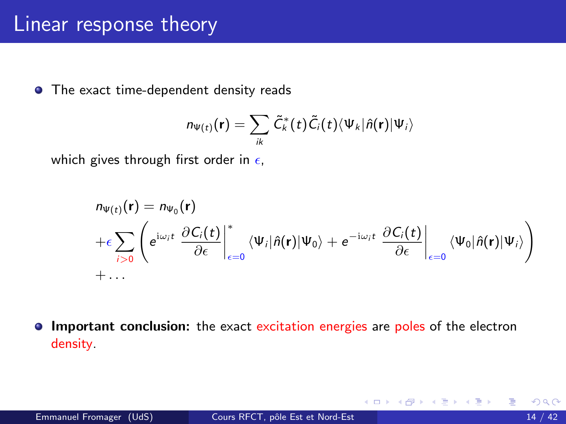• The exact time-dependent density reads

$$
n_{\Psi(t)}(\mathbf{r}) = \sum_{ik} \tilde{C}_k^*(t) \tilde{C}_i(t) \langle \Psi_k | \hat{n}(\mathbf{r}) | \Psi_i \rangle
$$

which gives through first order in  $\epsilon$ ,

$$
n_{\Psi(t)}(\mathbf{r}) = n_{\Psi_0}(\mathbf{r})
$$
  
+
$$
\epsilon \sum_{i>0} \left( e^{i\omega_i t} \left. \frac{\partial C_i(t)}{\partial \epsilon} \right|_{\epsilon=0}^* \langle \Psi_i | \hat{n}(\mathbf{r}) | \Psi_0 \rangle + e^{-i\omega_i t} \left. \frac{\partial C_i(t)}{\partial \epsilon} \right|_{\epsilon=0} \langle \Psi_0 | \hat{n}(\mathbf{r}) | \Psi_i \rangle \right)
$$
  
+...

Important conclusion: the exact excitation energies are poles of the electron  $\bullet$ density.

イロト イ押ト イヨト イヨト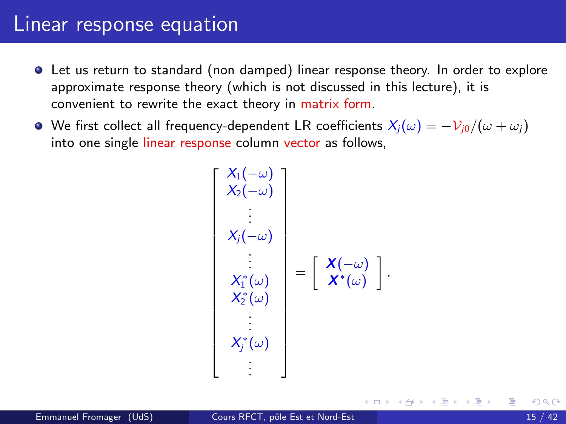#### Linear response equation

- Let us return to standard (non damped) linear response theory. In order to explore approximate response theory (which is not discussed in this lecture), it is convenient to rewrite the exact theory in matrix form.
- $\bullet$  We first collect all frequency-dependent LR coefficients  $X_i(\omega) = -\mathcal{V}_{i0}/(\omega + \omega_i)$ into one single linear response column vector as follows,

$$
\begin{bmatrix}\nX_1(-\omega) \\
X_2(-\omega) \\
X_j(-\omega) \\
\vdots \\
X_1^*(\omega) \\
X_2^*(\omega)\n\end{bmatrix} = \begin{bmatrix}\nX(-\omega) \\
X^*(\omega) \\
X^*(\omega)\n\end{bmatrix}.
$$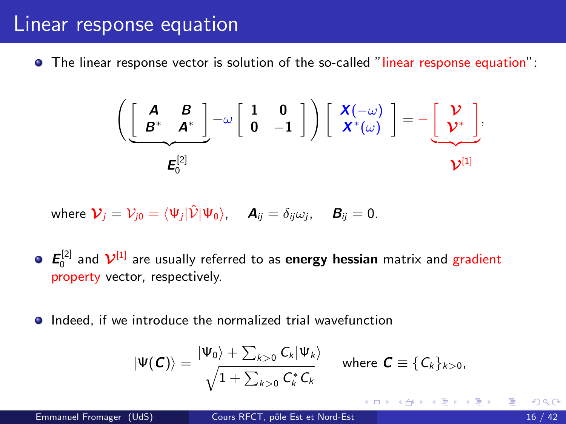#### <span id="page-15-0"></span>Linear response equation

• The linear response vector is solution of the so-called "linear response equation":

$$
\left(\underbrace{\begin{bmatrix} A & B \\ B^* & A^* \end{bmatrix}}_{E_0^{[2]}} - \omega \begin{bmatrix} 1 & 0 \\ 0 & -1 \end{bmatrix}\right) \begin{bmatrix} X(-\omega) \\ X^*(\omega) \end{bmatrix} = -\underbrace{\begin{bmatrix} V \\ V^* \end{bmatrix}}_{V^{[1]},
$$

where 
$$
\mathcal{V}_j = V_{j0} = \langle \Psi_j | \hat{\mathcal{V}} | \Psi_0 \rangle
$$
,  $\mathbf{A}_{ij} = \delta_{ij} \omega_j$ ,  $\mathbf{B}_{ij} = 0$ .

- $\boldsymbol{E}^{[2]}_0$  and  $\boldsymbol{\mathcal{V}}^{[1]}$  are usually referred to as **energy hessian** matrix and gradient property vector, respectively.
- **•** Indeed, if we introduce the normalized trial wavefunction

$$
|\Psi(\boldsymbol{C})\rangle = \frac{|\Psi_0\rangle + \sum_{k>0} C_k |\Psi_k\rangle}{\sqrt{1 + \sum_{k>0} C_k^* C_k}} \quad \text{where } \boldsymbol{C} \equiv \{C_k\}_{k>0},
$$

イロト イ母 ト イヨ ト イヨ トー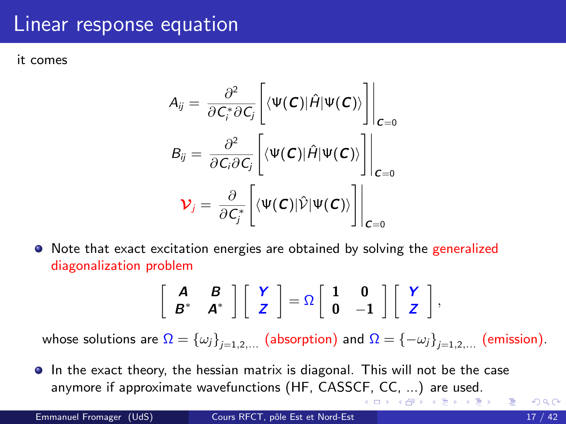#### <span id="page-16-0"></span>Linear response equation

it comes

$$
A_{ij} = \frac{\partial^2}{\partial C_i^* \partial C_j} \left[ \langle \Psi(C) | \hat{H} | \Psi(C) \rangle \right] \Big|_{C=0}
$$
  
\n
$$
B_{ij} = \frac{\partial^2}{\partial C_i \partial C_j} \left[ \langle \Psi(C) | \hat{H} | \Psi(C) \rangle \right] \Big|_{C=0}
$$
  
\n
$$
V_j = \frac{\partial}{\partial C_j^*} \left[ \langle \Psi(C) | \hat{V} | \Psi(C) \rangle \right] \Big|_{C=0}
$$

Note that exact excitation energies are obtained by solving the generalized diagonalization problem

$$
\left[\begin{array}{cc}A&B\\B^*&A^*\end{array}\right]\left[\begin{array}{c}Y\\Z\end{array}\right]=\Omega\left[\begin{array}{cc}1&0\\0&-1\end{array}\right]\left[\begin{array}{c}Y\\Z\end{array}\right],
$$

whose solutions are  $\Omega=\left\{\omega_j\right\}_{j=1,2,...}$  (absorption) and  $\Omega=\left\{-\omega_j\right\}_{j=1,2,...}$  (emission).

In the exact theory, the hessian matrix is diagonal. This will not be the case anymore if approximate wavefunctions (HF, CASS[CF,](#page-15-0) [CC](#page-17-0)[,](#page-15-0) [...](#page-16-0)[\)](#page-17-0) [are](#page-0-0) [u](#page-41-0)[sed](#page-0-0)[.](#page-41-0)

イロメ イ部メ イヨメ イヨメー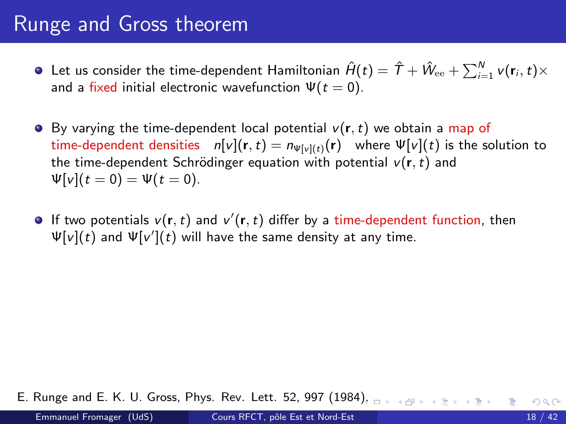# <span id="page-17-0"></span>Runge and Gross theorem

- Let us consider the time-dependent Hamiltonian  $\hat{H}(t)=\hat{T}+\hat{W}_{\rm ee}+\sum_{i=1}^Nv(\textbf{r}_i,t)\times$ and a fixed initial electronic wavefunction  $\Psi(t=0)$ .
- $\bullet$  By varying the time-dependent local potential  $v(r, t)$  we obtain a map of time-dependent densities  $n[v](r,t) = n_{\Psi[v](t)}(r)$  where  $\Psi[v](t)$  is the solution to the time-dependent Schrödinger equation with potential  $v(\mathbf{r},t)$  and  $\Psi[v](t=0) = \Psi(t=0).$
- If two potentials  $v(\mathbf{r},t)$  and  $v'(\mathbf{r},t)$  differ by a time-dependent function, then  $\Psi[v](t)$  and  $\Psi[v'](t)$  will have the same density at any time.

E. Runge and E. K. U. Gross, Phys. Rev. Lett. 52, 997 (1984[\).](#page-16-0)  $\Box \rightarrow \Box \rightarrow \Box \rightarrow \Box \rightarrow \Box$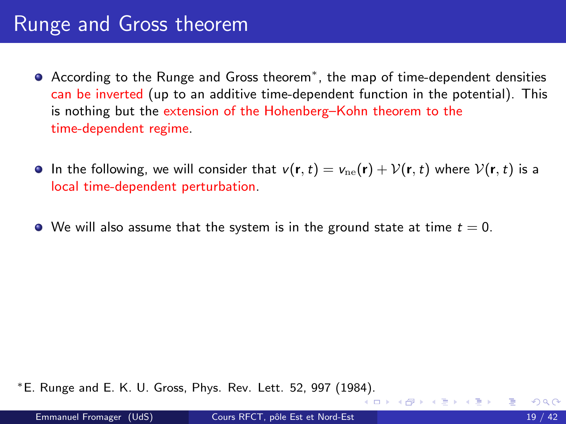## <span id="page-18-0"></span>Runge and Gross theorem

- According to the Runge and Gross theorem<sup>∗</sup> , the map of time-dependent densities can be inverted (up to an additive time-dependent function in the potential). This is nothing but the extension of the Hohenberg–Kohn theorem to the time-dependent regime.
- **In the following, we will consider that**  $v(\mathbf{r},t) = v_{\text{ne}}(\mathbf{r}) + \mathcal{V}(\mathbf{r},t)$  **where**  $\mathcal{V}(\mathbf{r},t)$  **is a** local time-dependent perturbation.
- $\bullet$  We will also assume that the system is in the ground state at time  $t = 0$ .

<sup>∗</sup>E. Runge and E. K. U. Gross, Phys. Rev. Lett. 52, 997 (198[4\).](#page-17-0)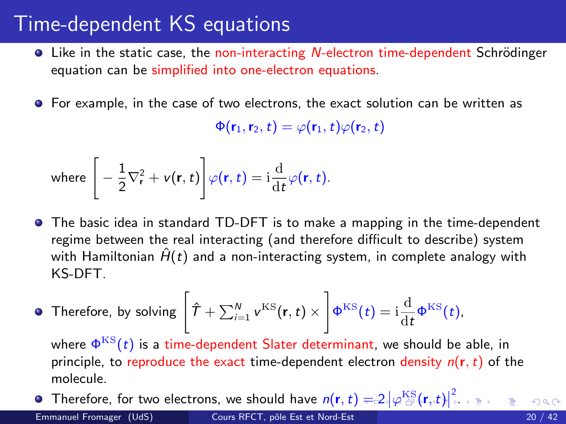## <span id="page-19-0"></span>Time-dependent KS equations

- $\bullet$  Like in the static case, the non-interacting *N*-electron time-dependent Schrödinger equation can be simplified into one-electron equations.
- **•** For example, in the case of two electrons, the exact solution can be written as

 $\Phi(\mathbf{r}_1,\mathbf{r}_2,t) = \varphi(\mathbf{r}_1,t)\varphi(\mathbf{r}_2,t)$ 

where 
$$
\left[-\frac{1}{2}\nabla_{\mathbf{r}}^{2} + v(\mathbf{r}, t)\right]\varphi(\mathbf{r}, t) = i\frac{d}{dt}\varphi(\mathbf{r}, t).
$$

- The basic idea in standard TD-DFT is to make a mapping in the time-dependent regime between the real interacting (and therefore difficult to describe) system with Hamiltonian  $\hat{H}(t)$  and a non-interacting system, in complete analogy with KS-DFT.
- Therefore, by solving  $\left[\hat{\mathcal{T}}+\sum_{i=1}^{N} \mathbf{\nu}^{\text{KS}}(\mathbf{r},t) \times \right]$  $\Phi^{\text{KS}}(t) = i \frac{d}{dt}$  $\frac{d}{dt}\Phi^{KS}(t)$ ,

where  $\Phi^{\mathrm{KS}}(t)$  is a time-dependent Slater determinant, we should be able, in principle, to reproduce the exact time-dependent electron density  $n(r, t)$  of the molecule.

Therefore[,](#page-0-0) for two electrons, we should have  $n(\mathbf{r},t)=2\left|\varphi^{\mathrm{KS}}_{\widehat{\mathcal{D}}}(\mathbf{r},t)\right|^2$  $n(\mathbf{r},t)=2\left|\varphi^{\mathrm{KS}}_{\widehat{\mathcal{D}}}(\mathbf{r},t)\right|^2$  $n(\mathbf{r},t)=2\left|\varphi^{\mathrm{KS}}_{\widehat{\mathcal{D}}}(\mathbf{r},t)\right|^2$  $n(\mathbf{r},t)=2\left|\varphi^{\mathrm{KS}}_{\widehat{\mathcal{D}}}(\mathbf{r},t)\right|^2$  $n(\mathbf{r},t)=2\left|\varphi^{\mathrm{KS}}_{\widehat{\mathcal{D}}}(\mathbf{r},t)\right|^2$  $n(\mathbf{r},t)=2\left|\varphi^{\mathrm{KS}}_{\widehat{\mathcal{D}}}(\mathbf{r},t)\right|^2$  $n(\mathbf{r},t)=2\left|\varphi^{\mathrm{KS}}_{\widehat{\mathcal{D}}}(\mathbf{r},t)\right|^2$ [.](#page-41-0) Emmanuel Fromager (UdS) Cours RFCT, pôle Est et Nord-Est 20 / 42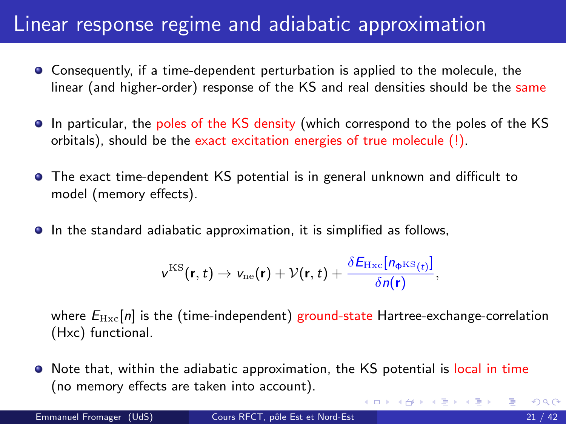## <span id="page-20-0"></span>Linear response regime and adiabatic approximation

- Consequently, if a time-dependent perturbation is applied to the molecule, the linear (and higher-order) response of the KS and real densities should be the same
- In particular, the poles of the KS density (which correspond to the poles of the KS orbitals), should be the exact excitation energies of true molecule (!).
- The exact time-dependent KS potential is in general unknown and difficult to model (memory effects).
- **In the standard adiabatic approximation, it is simplified as follows,**

$$
v^{\text{KS}}(\mathbf{r},t)\rightarrow v_{\text{ne}}(\mathbf{r})+\mathcal{V}(\mathbf{r},t)+\frac{\delta E_{\text{Hxc}}[n_{\Phi^{\text{KS}}(t)}]}{\delta n(\mathbf{r})},
$$

where  $E_{\text{Hxc}}[n]$  is the (time-independent) ground-state Hartree-exchange-correlation (Hxc) functional.

Note that, within the adiabatic approximation, the KS potential is local in time (no memory effects are taken into account).

イロト イ押ト イヨト イヨト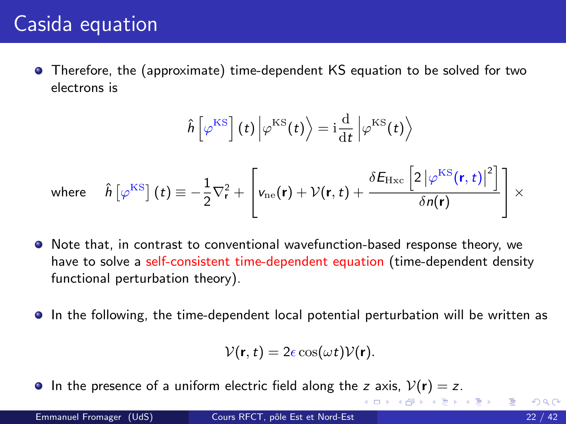Therefore, the (approximate) time-dependent KS equation to be solved for two electrons is

$$
\hat{h}\left[\varphi^{\text{KS}}\right](t)\left|\varphi^{\text{KS}}(t)\right\rangle = i\frac{d}{dt}\left|\varphi^{\text{KS}}(t)\right\rangle
$$
\nwhere\n
$$
\hat{h}\left[\varphi^{\text{KS}}\right](t) \equiv -\frac{1}{2}\nabla_{\mathbf{r}}^{2} + \left[\nu_{\text{ne}}(\mathbf{r}) + \mathcal{V}(\mathbf{r}, t) + \frac{\delta E_{\text{Hxc}}\left[2\left|\varphi^{\text{KS}}(\mathbf{r}, t)\right|^{2}\right]}{\delta n(\mathbf{r})}\right] \times
$$

- $\bullet$  Note that, in contrast to conventional wavefunction-based response theory, we have to solve a self-consistent time-dependent equation (time-dependent density functional perturbation theory).
- In the following, the time-dependent local potential perturbation will be written as

$$
\mathcal{V}(\mathbf{r},t)=2\epsilon\cos(\omega t)\mathcal{V}(\mathbf{r}).
$$

**In the presence of a uniform electric field along the z axis,**  $V(\mathbf{r}) = z$ **.** 

イロト イ部 トイモト イモト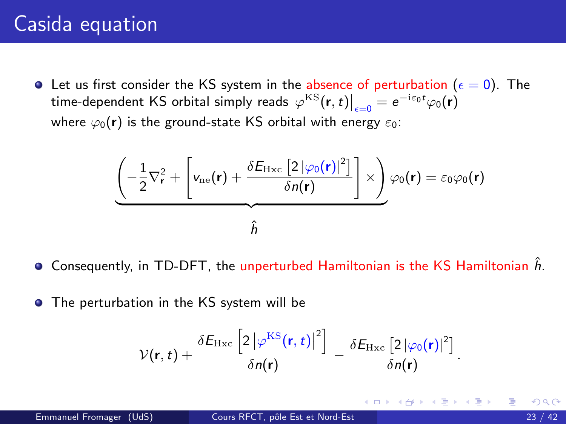<span id="page-22-0"></span> $\bullet$  Let us first consider the KS system in the absence of perturbation ( $\epsilon = 0$ ). The time-dependent KS orbital simply reads  $\left.\varphi^{\rm KS}(\textbf{r},t)\right|_{\epsilon=0}=e^{-i\varepsilon_0 t}\varphi_0(\textbf{r})$ where  $\varphi_0(\mathbf{r})$  is the ground-state KS orbital with energy  $\varepsilon_0$ :

$$
\underbrace{\left(-\frac{1}{2}\nabla_r^2 + \left[v_{\text{ne}}(\mathbf{r}) + \frac{\delta E_{\text{Hxc}}\left[2\left|\varphi_0(\mathbf{r})\right|^2\right]}{\delta n(\mathbf{r})}\right] \times}\right) \varphi_0(\mathbf{r}) = \varepsilon_0 \varphi_0(\mathbf{r})}{\hat{h}}
$$

- $\bullet$  Consequently, in TD-DFT, the unperturbed Hamiltonian is the KS Hamiltonian h.
- **•** The perturbation in the KS system will be

$$
\mathcal{V}(\mathbf{r},t) + \frac{\delta E_{\mathrm{Hxc}}\left[2\left|\varphi^{\mathrm{KS}}(\mathbf{r},t)\right|^{2}\right]}{\delta n(\mathbf{r})} - \frac{\delta E_{\mathrm{Hxc}}\left[2\left|\varphi_{0}(\mathbf{r})\right|^{2}\right]}{\delta n(\mathbf{r})}.
$$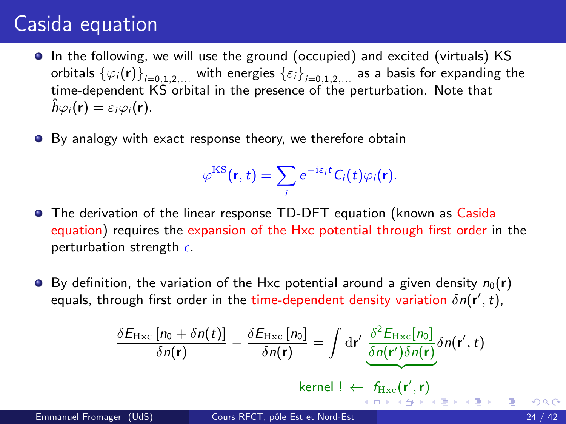- <span id="page-23-0"></span>In the following, we will use the ground (occupied) and excited (virtuals) KS orbitals  $\{\varphi_i(\bm{\mathsf{r}})\}_{i=0,1,2,...}$  with energies  $\{\varepsilon_i\}_{i=0,1,2,...}$  as a basis for expanding the time-dependent KS orbital in the presence of the perturbation. Note that  $\hat{h}\varphi_i(\mathbf{r}) = \varepsilon_i\varphi_i(\mathbf{r}).$
- By analogy with exact response theory, we therefore obtain

$$
\varphi^{\text{KS}}(\mathbf{r},t)=\sum_{i}e^{-i\varepsilon_{i}t}C_{i}(t)\varphi_{i}(\mathbf{r}).
$$

- The derivation of the linear response TD-DFT equation (known as Casida equation) requires the expansion of the Hxc potential through first order in the perturbation strength  $\epsilon$ .
- $\bullet$  By definition, the variation of the Hxc potential around a given density  $n_0(\mathbf{r})$ equals, through first order in the time-dependent density variation  $\delta n(\mathbf{r}',t)$ ,

$$
\frac{\delta E_{\rm Hxc}\left[n_0+\delta n(t)\right]}{\delta n(\mathbf{r})}-\frac{\delta E_{\rm Hxc}\left[n_0\right]}{\delta n(\mathbf{r})}=\int\mathrm{d}\mathbf{r}'\,\frac{\delta^2 E_{\rm Hxc}[n_0]}{\delta n(\mathbf{r}')\delta n(\mathbf{r})}\delta n(\mathbf{r}',t)
$$

ke[r](#page-24-0)nel !  $\leftarrow$  $\leftarrow$  $\leftarrow$   $f_{\text{Hxc}}(\mathbf{r}', \mathbf{r})$  $f_{\text{Hxc}}(\mathbf{r}', \mathbf{r})$  $f_{\text{Hxc}}(\mathbf{r}', \mathbf{r})$  $f_{\text{Hxc}}(\mathbf{r}', \mathbf{r})$  $f_{\text{Hxc}}(\mathbf{r}', \mathbf{r})$  $f_{\text{Hxc}}(\mathbf{r}', \mathbf{r})$  $f_{\text{Hxc}}(\mathbf{r}', \mathbf{r})$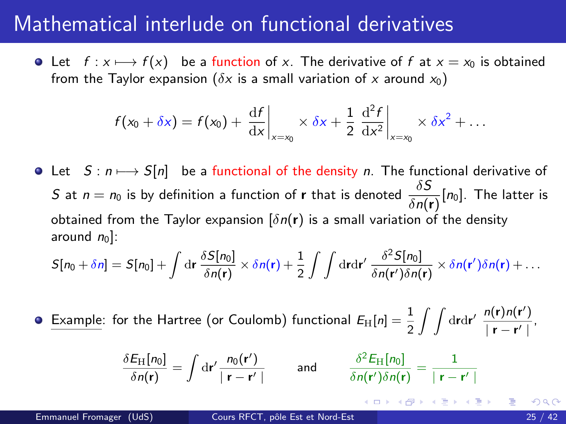#### <span id="page-24-0"></span>Mathematical interlude on functional derivatives

• Let  $f : x \mapsto f(x)$  be a function of x. The derivative of f at  $x = x_0$  is obtained from the Taylor expansion ( $\delta x$  is a small variation of x around  $x_0$ )

$$
f(x_0+\delta x)=f(x_0)+\frac{\mathrm{d}f}{\mathrm{d}x}\bigg|_{x=x_0}\times\delta x+\frac{1}{2}\left.\frac{\mathrm{d}^2f}{\mathrm{d}x^2}\right|_{x=x_0}\times\delta x^2+\ldots
$$

• Let  $S : n \mapsto S[n]$  be a functional of the density n. The functional derivative of  $S$  at  $n=n_0$  is by definition a function of  ${\bf r}$  that is denoted  $\frac{\delta S}{\delta n({\bf r})}[n_0].$  The latter is obtained from the Taylor expansion  $\left[\delta n(\mathbf{r})\right]$  is a small variation of the density around  $n_0$ ]:

$$
S[n_0 + \delta n] = S[n_0] + \int \mathrm{d}\mathbf{r} \, \frac{\delta S[n_0]}{\delta n(\mathbf{r})} \times \delta n(\mathbf{r}) + \frac{1}{2} \int \int \mathrm{d}\mathbf{r} \mathrm{d}\mathbf{r}' \, \frac{\delta^2 S[n_0]}{\delta n(\mathbf{r}')\delta n(\mathbf{r})} \times \delta n(\mathbf{r}')\delta n(\mathbf{r}) + \ldots
$$

Example: for the Hartree (or Coulomb) functional  $E_{\rm H}[n]=\frac{1}{2}\int\int{\rm d} \mathbf{r} {\rm d}\mathbf{r}'\ \frac{n(\mathbf{r})n(\mathbf{r}')}{|\mathbf{r}-\mathbf{r}'|}$  $\bullet$  $\frac{n(r) n(r)}{r - r'}$ 

$$
\frac{\delta E_{\rm H}[n_0]}{\delta n(\mathbf{r})} = \int \mathrm{d}\mathbf{r}' \frac{n_0(\mathbf{r}')}{|\mathbf{r} - \mathbf{r}'|} \quad \text{and} \quad \frac{\delta^2 E_{\rm H}[n_0]}{\delta n(\mathbf{r}')\delta n(\mathbf{r})} = \frac{1}{|\mathbf{r} - \mathbf{r}'|}
$$

K ロ ▶ K 優 ▶ K 결 ▶ K 결 ▶ ○ 결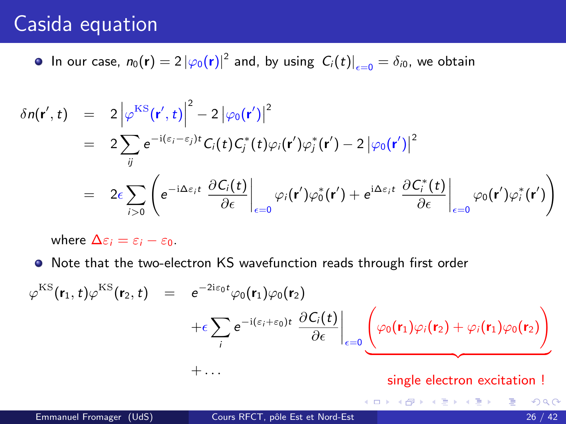In our case,  $n_0(\mathbf{r}) = 2 |\varphi_0(\mathbf{r})|^2$  and, by using  $|C_i(t)|_{\epsilon=0} = \delta_{i0}$ , we obtain

$$
\delta n(\mathbf{r}',t) = 2 \left| \varphi^{\mathrm{KS}}(\mathbf{r}',t) \right|^2 - 2 \left| \varphi_0(\mathbf{r}') \right|^2
$$
  
\n
$$
= 2 \sum_{ij} e^{-i(\varepsilon_i - \varepsilon_j)t} C_i(t) C_j^*(t) \varphi_i(\mathbf{r}') \varphi_j^*(\mathbf{r}') - 2 \left| \varphi_0(\mathbf{r}') \right|^2
$$
  
\n
$$
= 2 \varepsilon \sum_{i>0} \left( e^{-i\Delta\varepsilon_i t} \left. \frac{\partial C_i(t)}{\partial \varepsilon} \right|_{\varepsilon=0} \varphi_i(\mathbf{r}') \varphi_0^*(\mathbf{r}') + e^{i\Delta\varepsilon_i t} \left. \frac{\partial C_i^*(t)}{\partial \varepsilon} \right|_{\varepsilon=0} \varphi_0(\mathbf{r}') \varphi_i^*(\mathbf{r}') \right)
$$

where  $\Delta \varepsilon_i = \varepsilon_i - \varepsilon_0$ .

Note that the two-electron KS wavefunction reads through first order

$$
\varphi^{\text{KS}}(\mathbf{r}_1, t) \varphi^{\text{KS}}(\mathbf{r}_2, t) = e^{-2i\varepsilon_0 t} \varphi_0(\mathbf{r}_1) \varphi_0(\mathbf{r}_2) \n+ \varepsilon \sum_i e^{-i(\varepsilon_i + \varepsilon_0)t} \left. \frac{\partial C_i(t)}{\partial \varepsilon} \right|_{\varepsilon = 0} \underbrace{\left( \varphi_0(\mathbf{r}_1) \varphi_i(\mathbf{r}_2) + \varphi_i(\mathbf{r}_1) \varphi_0(\mathbf{r}_2) \right)}_{\text{single electron excitation}}
$$

4 0 8

- イ ヨート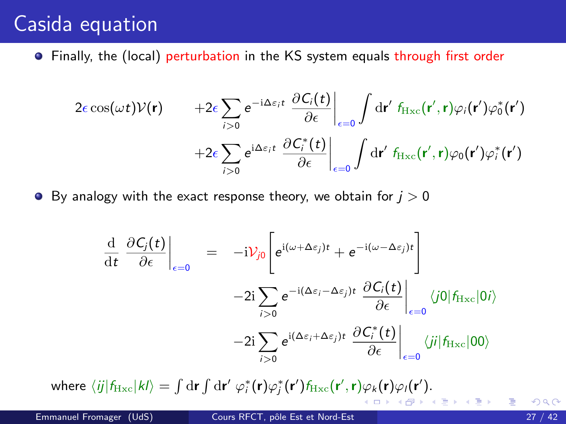**•** Finally, the (local) perturbation in the KS system equals through first order

$$
2\epsilon \cos(\omega t)\mathcal{V}(\mathbf{r}) \qquad +2\epsilon \sum_{i>0} e^{-i\Delta\varepsilon_i t} \left. \frac{\partial C_i(t)}{\partial \epsilon} \right|_{\epsilon=0} \int d\mathbf{r}' \, f_{\text{Hxc}}(\mathbf{r}', \mathbf{r}) \varphi_i(\mathbf{r}') \varphi_0^*(\mathbf{r}') +2\epsilon \sum_{i>0} e^{i\Delta\varepsilon_i t} \left. \frac{\partial C_i^*(t)}{\partial \epsilon} \right|_{\epsilon=0} \int d\mathbf{r}' \, f_{\text{Hxc}}(\mathbf{r}', \mathbf{r}) \varphi_0(\mathbf{r}') \varphi_i^*(\mathbf{r}')
$$

**•** By analogy with the exact response theory, we obtain for  $j > 0$ 

$$
\frac{\mathrm{d}}{\mathrm{d}t} \left. \frac{\partial C_j(t)}{\partial \epsilon} \right|_{\epsilon=0} = -i \mathcal{V}_{j0} \left[ e^{i(\omega + \Delta \epsilon_j)t} + e^{-i(\omega - \Delta \epsilon_j)t} \right] \n-2i \sum_{i>0} e^{-i(\Delta \epsilon_i - \Delta \epsilon_j)t} \left. \frac{\partial C_i(t)}{\partial \epsilon} \right|_{\epsilon=0} \langle j0| f_{\mathrm{Hxc}} |0i \rangle \n-2i \sum_{i>0} e^{i(\Delta \epsilon_i + \Delta \epsilon_j)t} \left. \frac{\partial C_i^*(t)}{\partial \epsilon} \right|_{\epsilon=0} \langle ji| f_{\mathrm{Hxc}} |00 \rangle
$$

where  $\langle ij|f_{\rm Hxc}|kl\rangle = \int \mathrm{d}\mathbf{r} \int \mathrm{d}\mathbf{r}' \; \varphi_i^*(\mathbf{r}) \varphi_j^*(\mathbf{r}') f_{\rm Hxc}(\mathbf{r}',\mathbf{r}) \varphi_k(\mathbf{r}) \varphi_l(\mathbf{r}').$ イロメ イ部メ イ君メ イ君メー

D.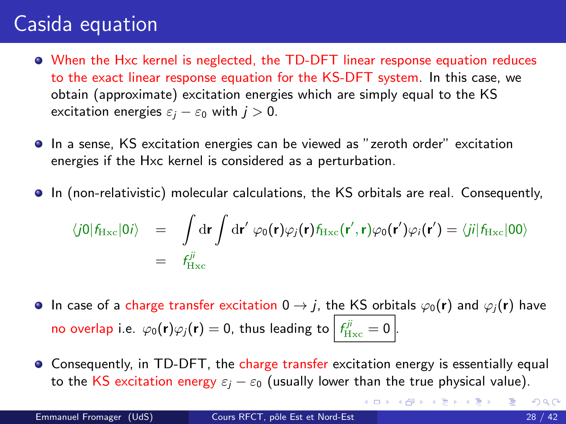- When the Hxc kernel is neglected, the TD-DFT linear response equation reduces to the exact linear response equation for the KS-DFT system. In this case, we obtain (approximate) excitation energies which are simply equal to the KS excitation energies  $\varepsilon_j - \varepsilon_0$  with  $j > 0$ .
- In a sense, KS excitation energies can be viewed as "zeroth order" excitation energies if the Hxc kernel is considered as a perturbation.
- In (non-relativistic) molecular calculations, the KS orbitals are real. Consequently,

$$
\langle j0|f_{\rm Hxc}|0i\rangle = \int d\mathbf{r} \int d\mathbf{r}' \varphi_0(\mathbf{r})\varphi_j(\mathbf{r})f_{\rm Hxc}(\mathbf{r}',\mathbf{r})\varphi_0(\mathbf{r}')\varphi_i(\mathbf{r}') = \langle ji|f_{\rm Hxc}|00\rangle
$$
  
=  $f_{\rm Hxc}^{ji}$ 

- **In case of a charge transfer excitation 0**  $\rightarrow$  *j*, the KS orbitals  $\varphi_0(\mathbf{r})$  and  $\varphi_i(\mathbf{r})$  have no overlap i.e.  $\varphi_0(\mathbf{r})\varphi_j(\mathbf{r})=0$ , thus leading to  $\left| \frac{f^{ji}_{\mathrm{Hxc}}}{f_{\mathrm{Hxc}}}\right|=0$  .
- Consequently, in TD-DFT, the charge transfer excitation energy is essentially equal to the KS excitation energy  $\varepsilon_i - \varepsilon_0$  (usually lower than the true physical value).

K ロ ▶ K 個 ▶ K 로 ▶ K 로 ▶ 『로 』 ◇ Q Q @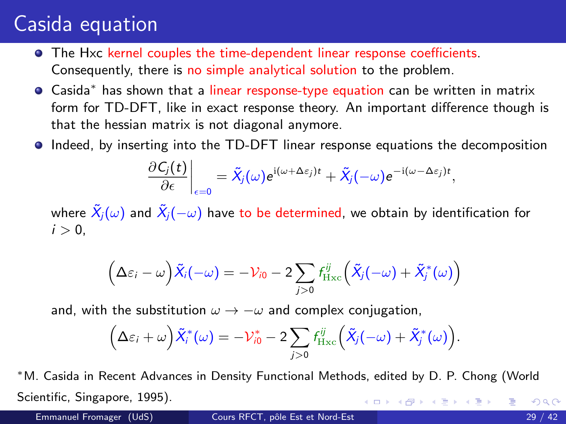- The Hxc kernel couples the time-dependent linear response coefficients. Consequently, there is no simple analytical solution to the problem.
- Casida<sup>∗</sup> has shown that a linear response-type equation can be written in matrix form for TD-DFT, like in exact response theory. An important difference though is that the hessian matrix is not diagonal anymore.
- Indeed, by inserting into the TD-DFT linear response equations the decomposition

$$
\left.\frac{\partial C_j(t)}{\partial \epsilon}\right|_{\epsilon=0}=\tilde{X}_j(\omega)e^{\mathrm{i}(\omega+\Delta \epsilon_j)t}+\tilde{X}_j(-\omega)e^{-\mathrm{i}(\omega-\Delta \epsilon_j)t},
$$

where  $\tilde{X}_i(\omega)$  and  $\tilde{X}_i(-\omega)$  have to be determined, we obtain by identification for  $i > 0$ ,

$$
\left(\Delta\varepsilon_i-\omega\right)\tilde{X}_i(-\omega)=-\mathcal{V}_{i0}-2\sum_{j>0}f^{ij}_{\rm Hxc}\Big(\tilde{X}_j(-\omega)+\tilde{X}^*_j(\omega)\Big)
$$

and, with the substitution  $\omega \rightarrow -\omega$  and complex conjugation,

$$
\left(\Delta\varepsilon_i+\omega\right)\tilde{X}_i^*(\omega)=-\mathcal{V}_{i0}^*-2\sum_{j>0}f_{\rm Hxc}^{ij}\left(\tilde{X}_j(-\omega)+\tilde{X}_j^*(\omega)\right).
$$

<sup>∗</sup>M. Casida in Recent Advances in Density Functional Methods, edited by D. P. Chong (World Scientific, Singapore, 1995). イロメ イ部メ イ君メ イ君メート  $QQ$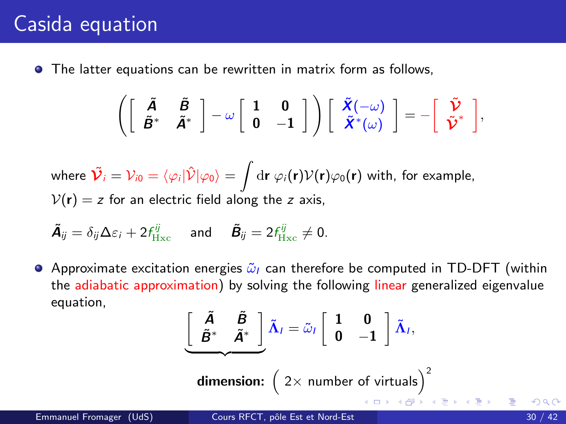<span id="page-29-0"></span>The latter equations can be rewritten in matrix form as follows,

$$
\left(\left[\begin{array}{cc} \tilde{A} & \tilde{B} \\ \tilde{B}^* & \tilde{A}^* \end{array}\right] - \omega \left[\begin{array}{cc} 1 & 0 \\ 0 & -1 \end{array}\right] \right) \left[\begin{array}{c} \tilde{X}(-\omega) \\ \tilde{X}^*(\omega) \end{array}\right] = - \left[\begin{array}{c} \tilde{\mathcal{V}} \\ \tilde{\mathcal{V}}^* \end{array}\right],
$$

where  $\tilde{\cal{\nu}}_i = {\cal{V}}_{i0} = \langle \varphi_i | \hat{\cal{V}} | \varphi_0 \rangle = \int {\rm d}{\bf r} \ \varphi_i({\bf r}) {\cal{V}}({\bf r}) \varphi_0({\bf r})$  with, for example,  $V(r) = z$  for an electric field along the z axis,

$$
\tilde{\mathbf{A}}_{ij} = \delta_{ij} \Delta \varepsilon_i + 2 f_{\mathrm{Hxc}}^{ij} \quad \text{and} \quad \tilde{\mathbf{B}}_{ij} = 2 f_{\mathrm{Hxc}}^{ij} \neq 0.
$$

Approximate excitation energies  $\tilde{\omega}_I$  can therefore be computed in TD-DFT (within the adiabatic approximation) by solving the following linear generalized eigenvalue equation,

$$
\left[\begin{array}{cc}\n\tilde{A} & \tilde{B} \\
\tilde{B}^* & \tilde{A}^*\n\end{array}\right]\tilde{\Lambda}_l = \tilde{\omega}_l \left[\begin{array}{cc} 1 & 0 \\ 0 & -1 \end{array}\right] \tilde{\Lambda}_l,
$$
\ndimension:  $\left(2 \times \text{ number of virtuals}\right)^2$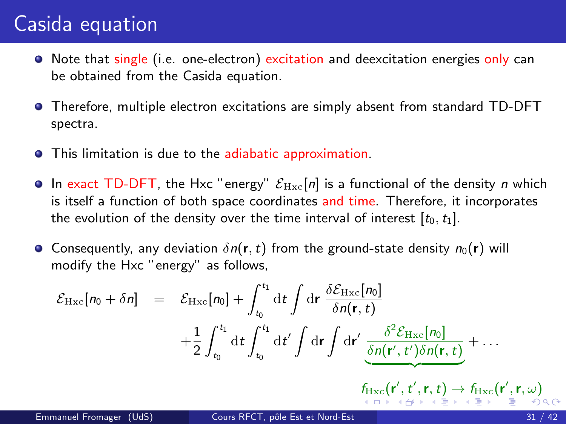- <span id="page-30-0"></span>O Note that single (i.e. one-electron) excitation and deexcitation energies only can be obtained from the Casida equation.
- Therefore, multiple electron excitations are simply absent from standard TD-DFT spectra.
- This limitation is due to the adiabatic approximation.
- In exact TD-DFT, the Hxc "energy"  $\mathcal{E}_{\text{Hxc}}[n]$  is a functional of the density n which is itself a function of both space coordinates and time. Therefore, it incorporates the evolution of the density over the time interval of interest  $[t_0, t_1]$ .
- **•** Consequently, any deviation  $\delta n(\mathbf{r}, t)$  from the ground-state density  $n_0(\mathbf{r})$  will modify the Hxc "energy" as follows,

$$
\mathcal{E}_{Hxc}[n_0 + \delta n] = \mathcal{E}_{Hxc}[n_0] + \int_{t_0}^{t_1} dt \int dr \frac{\delta \mathcal{E}_{Hxc}[n_0]}{\delta n(\mathbf{r}, t)} + \frac{1}{2} \int_{t_0}^{t_1} dt \int_{t_0}^{t_1} dt' \int dr \int dr' \frac{\delta^2 \mathcal{E}_{Hxc}[n_0]}{\delta n(\mathbf{r}', t')\delta n(\mathbf{r}, t)} + \cdots + \frac{f_{Hxc}(\mathbf{r}', t', \mathbf{r}, t) \delta n(\mathbf{r}, t)}{\delta n(\mathbf{r}', t')\delta n(\mathbf{r}, t)} + \cdots
$$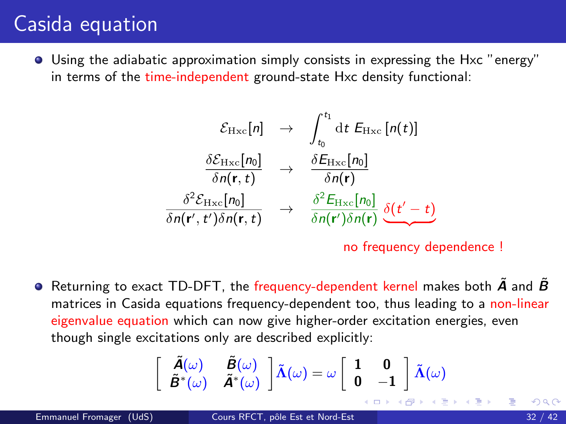<span id="page-31-0"></span>Using the adiabatic approximation simply consists in expressing the Hxc "energy" in terms of the time-independent ground-state Hxc density functional:

$$
\mathcal{E}_{Hxc}[n] \rightarrow \int_{t_0}^{t_1} dt \ E_{Hxc}[n(t)]
$$
\n
$$
\frac{\delta \mathcal{E}_{Hxc}[n_0]}{\delta n(\mathbf{r}, t)} \rightarrow \frac{\delta E_{Hxc}[n_0]}{\delta n(\mathbf{r})}
$$
\n
$$
\frac{\delta^2 \mathcal{E}_{Hxc}[n_0]}{\delta n(\mathbf{r}', t') \delta n(\mathbf{r}, t)} \rightarrow \frac{\delta^2 E_{Hxc}[n_0]}{\delta n(\mathbf{r}') \delta n(\mathbf{r})} \underbrace{\delta (t'-t)}_{}
$$

no frequency dependence !

**•** Returning to exact TD-DFT, the frequency-dependent kernel makes both  $\vec{A}$  and  $\vec{B}$ matrices in Casida equations frequency-dependent too, thus leading to a non-linear eigenvalue equation which can now give higher-order excitation energies, even though single excitations only are described explicitly:

$$
\begin{bmatrix}\n\tilde{A}(\omega) & \tilde{B}(\omega) \\
\tilde{B}^*(\omega) & \tilde{A}^*(\omega)\n\end{bmatrix}\n\tilde{\Lambda}(\omega) = \omega \begin{bmatrix}\n1 & 0 \\
0 & -1\n\end{bmatrix}\n\tilde{\Lambda}(\omega)
$$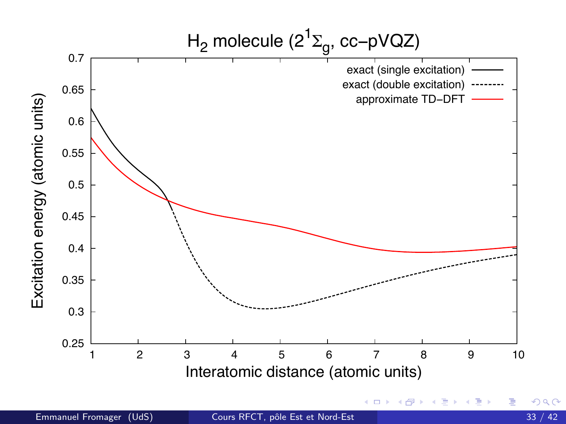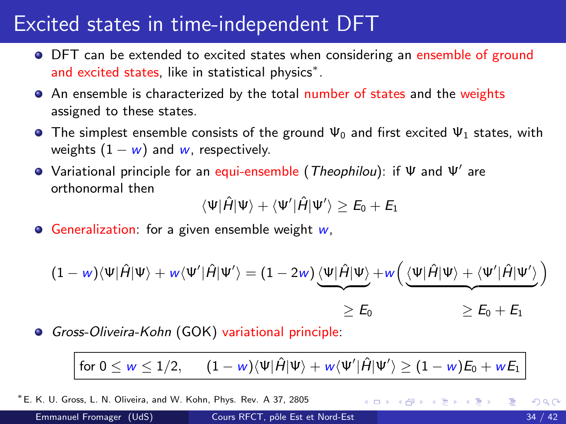# <span id="page-33-0"></span>Excited states in time-independent DFT

- DFT can be extended to excited states when considering an ensemble of ground and excited states, like in statistical physics<sup>\*</sup>.
- An ensemble is characterized by the total number of states and the weights assigned to these states.
- **The simplest ensemble consists of the ground**  $\Psi_0$  **and first excited**  $\Psi_1$  **states, with** weights  $(1 - w)$  and w, respectively.
- Variational principle for an equi-ensemble (*Theophilou*): if Ψ and Ψ' are orthonormal then

 $\langle\Psi|\hat{H}|\Psi\rangle + \langle\Psi'|\hat{H}|\Psi'\rangle \geq E_0 + E_1$ 

Generalization: for a given ensemble weight  $w$ ,

$$
(1 - w)\langle\Psi|\hat{H}|\Psi\rangle + w\langle\Psi'|\hat{H}|\Psi'\rangle = (1 - 2w)\underbrace{\langle\Psi|\hat{H}|\Psi\rangle}_{\geq E_0} + w\Big(\underbrace{\langle\Psi|\hat{H}|\Psi\rangle + \langle\Psi'|\hat{H}|\Psi'\rangle}_{\geq E_0} \Big)
$$

Gross-Oliveira-Kohn (GOK) variational principle:

for  $0\leq w\leq 1/2,\qquad (1-w)\langle \Psi|\hat{H}|\Psi\rangle +w\langle \Psi'|\hat{H}|\Psi'\rangle \geq (1-w)E_0+wE_1$ 

<sup>∗</sup>E. K. U. Gross, L. N. Oliveira, and W. Kohn, Phys. Rev. A 37, 2805

K ロ ⊁ K 個 ≯ K 君 ⊁ K 君 ≯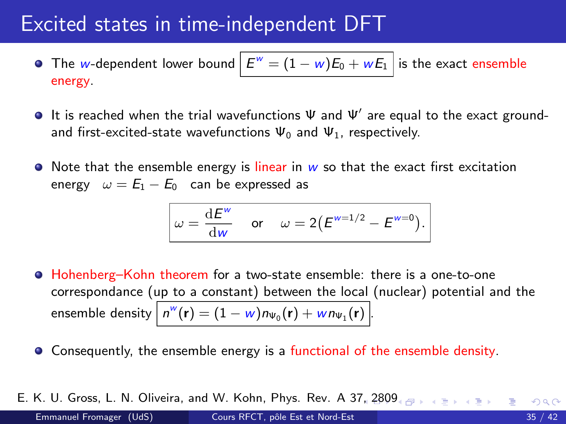## Excited states in time-independent DFT

- The  $w$ -dependent lower bound  $\left| \, E^{w} = (1 w) E_{0} + w E_{1} \, \right|$  is the exact ensemble energy.
- It is reached when the trial wavefunctions  $\Psi$  and  $\Psi'$  are equal to the exact groundand first-excited-state wavefunctions  $\Psi_0$  and  $\Psi_1$ , respectively.
- $\bullet$  Note that the ensemble energy is linear in w so that the exact first excitation energy  $\omega = E_1 - E_0$  can be expressed as

$$
\omega = \frac{\mathrm{d}E^w}{\mathrm{d}w} \quad \text{or} \quad \omega = 2(E^{w=1/2} - E^{w=0}).
$$

- Hohenberg–Kohn theorem for a two-state ensemble: there is a one-to-one correspondance (up to a constant) between the local (nuclear) potential and the ensemble density  $\big\vert \, n^\mathsf{w}(\mathbf{r}) = (1-\mathsf{w}) n_{\mathsf{W}_0}(\mathbf{r}) + \mathsf{w} n_{\mathsf{W}_1}(\mathbf{r}) \, \big\vert .$
- Consequently, the ensemble energy is a functional of the ensemble density.
- E. K. U. Gross, L. N. Oliveira, and W. Kohn, Phys. Rev. A 37,  $2809$  $2809$  $2809$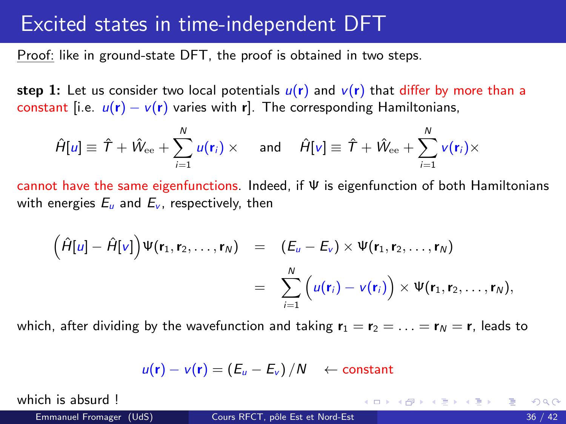#### <span id="page-35-0"></span>Excited states in time-independent DFT

Proof: like in ground-state DFT, the proof is obtained in two steps.

step 1: Let us consider two local potentials  $u(r)$  and  $v(r)$  that differ by more than a constant [i.e.  $u(\mathbf{r}) - v(\mathbf{r})$  varies with r]. The corresponding Hamiltonians,

$$
\hat{H}[u] \equiv \hat{T} + \hat{W}_{ee} + \sum_{i=1}^{N} u(\mathbf{r}_i) \times \quad \text{ and } \quad \hat{H}[v] \equiv \hat{T} + \hat{W}_{ee} + \sum_{i=1}^{N} v(\mathbf{r}_i) \times
$$

cannot have the same eigenfunctions. Indeed, if Ψ is eigenfunction of both Hamiltonians with energies  $E_{\mu}$  and  $E_{\nu}$ , respectively, then

$$
\left(\hat{H}[u] - \hat{H}[v]\right) \Psi(\mathbf{r}_1, \mathbf{r}_2, \ldots, \mathbf{r}_N) = \left(E_u - E_v\right) \times \Psi(\mathbf{r}_1, \mathbf{r}_2, \ldots, \mathbf{r}_N)
$$
\n
$$
= \sum_{i=1}^N \left(u(\mathbf{r}_i) - v(\mathbf{r}_i)\right) \times \Psi(\mathbf{r}_1, \mathbf{r}_2, \ldots, \mathbf{r}_N),
$$

which, after dividing by the wavefunction and taking  $r_1 = r_2 = \ldots = r_N = r$ , leads to

$$
u(\mathbf{r}) - v(\mathbf{r}) = (E_u - E_v)/N \quad \leftarrow \text{constant}
$$

which is absurd 1

K ロ ▶ K 倒 ▶ K 듣 ▶ K 듣 ▶ ...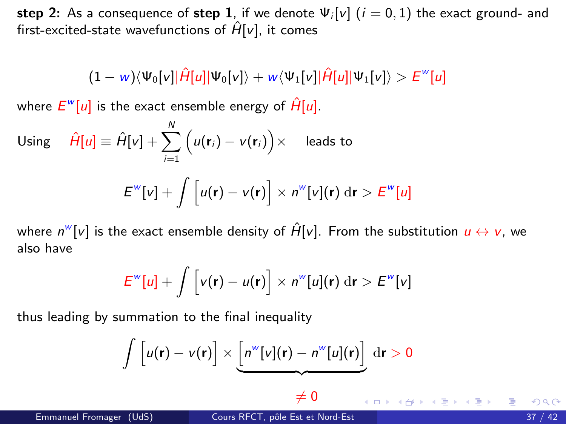step 2: As a consequence of step 1, if we denote  $\Psi_i[v]$   $(i = 0, 1)$  the exact ground- and first-excited-state wavefunctions of  $\hat{H}[v]$ , it comes

$$
(1 - w)\langle \Psi_0[v]|\hat{H}[u]|\Psi_0[v]\rangle + w\langle \Psi_1[v]|\hat{H}[u]|\Psi_1[v]\rangle > E^w[u]
$$

where  $E^{\omega}[u]$  is the exact ensemble energy of  $\hat{H}[u].$ 

Using 
$$
\hat{H}[u] \equiv \hat{H}[v] + \sum_{i=1}^{N} (u(\mathbf{r}_i) - v(\mathbf{r}_i)) \times
$$
 leads to  

$$
E^{w}[v] + \int [u(\mathbf{r}) - v(\mathbf{r})] \times n^{w}[v](\mathbf{r}) dr > E^{w}[u]
$$

where  $n^w[\nu]$  is the exact ensemble density of  $\hat{H}[\nu]$ . From the substitution  $u\leftrightarrow v$ , we also have

$$
E^{w}[u] + \int \left[v(\mathbf{r}) - u(\mathbf{r})\right] \times n^{w}[u](\mathbf{r}) \, \mathrm{d}\mathbf{r} > E^{w}[v]
$$

thus leading by summation to the final inequality

$$
\int \left[ u(\mathbf{r}) - v(\mathbf{r}) \right] \times \underbrace{\left[ n^w[v](\mathbf{r}) - n^w[u](\mathbf{r}) \right]}_{\sim} \mathrm{d}\mathbf{r} > 0
$$

 $\neq 0$ 

イロメ イ部メ イヨメ イヨメー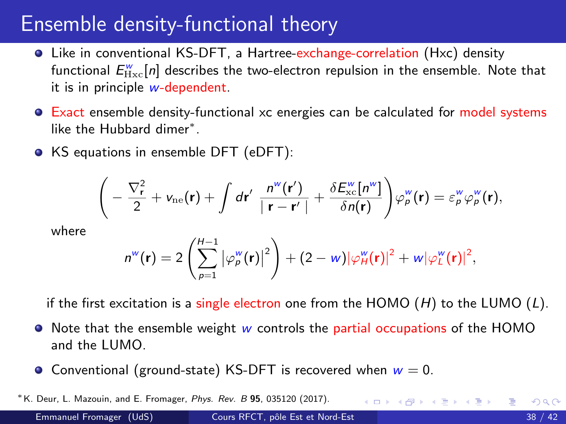#### <span id="page-37-0"></span>Ensemble density-functional theory

- Like in conventional KS-DFT, a Hartree-exchange-correlation (Hxc) density functional  $E^{\rm w}_{\rm Hxc}[n]$  describes the two-electron repulsion in the ensemble. Note that it is in principle w-dependent.
- Exact ensemble density-functional xc energies can be calculated for model systems like the Hubbard dimer<sup>∗</sup> .
- KS equations in ensemble DFT (eDFT):

$$
\left(-\frac{\nabla_{\mathbf{r}}^2}{2} + v_{\rm ne}(\mathbf{r}) + \int d\mathbf{r}' \frac{n^{\rm w}(\mathbf{r}')}{|\mathbf{r} - \mathbf{r}'|} + \frac{\delta E_{\rm xc}^{\rm w}[n^{\rm w}]}{\delta n(\mathbf{r})}\right)\varphi_{\rho}^{\rm w}(\mathbf{r}) = \varepsilon_{\rho}^{\rm w}\varphi_{\rho}^{\rm w}(\mathbf{r}),
$$

where

$$
n^{w}(\mathbf{r}) = 2\left(\sum_{p=1}^{H-1} |\varphi_{p}^{w}(\mathbf{r})|^{2}\right) + (2-w)|\varphi_{H}^{w}(\mathbf{r})|^{2} + w|\varphi_{L}^{w}(\mathbf{r})|^{2},
$$

if the first excitation is a single electron one from the HOMO  $(H)$  to the LUMO  $(L)$ .

- $\bullet$  Note that the ensemble weight w controls the partial occupations of the HOMO and the LUMO.
- Conventional (ground-state) KS-DFT is recovered when  $w = 0$ .

<sup>∗</sup>K. Deur, L. Mazouin, and E. Fromager, Phys. Rev. B 95, 035120 (2017). K ロ ⊁ K 個 ≯ K 君 ⊁ K 君 ≯  $QQ$ Emmanuel Fromager (UdS) Cours RFCT, pôle Est et Nord-Est 38 / 42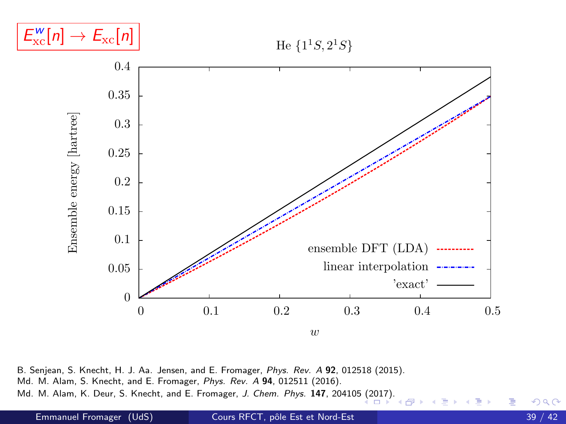<span id="page-38-0"></span>

He  $\{1^1S, 2^1S\}$ 



B. Senjean, S. Knecht, H. J. Aa. Jensen, and E. Fromager, Phys. Rev. A 92, 012518 (2015). Md. M. Alam, S. Knecht, and E. Fromager, Phys. Rev. A 94, 012511 (2016). Md. M. Alam, K. Deur, S. Knecht, and E. Fromager, J. Chem. Phys. 147, 20410[5 \(2](#page-37-0)0[17\).](#page-39-0)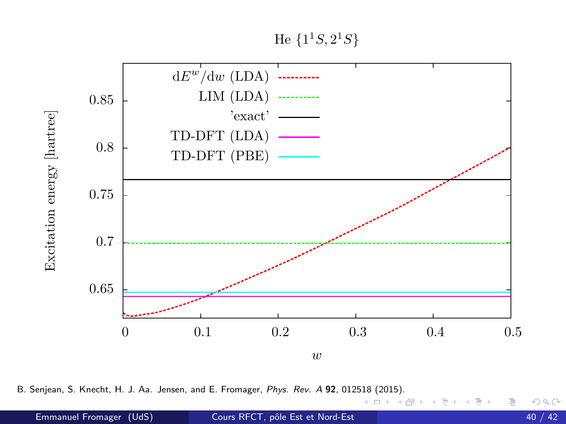He  $\{1^1S, 2^1S\}$ 

<span id="page-39-0"></span>

B. Senjean, S. Knecht, H. J. Aa. Jensen, and E. Fromager, Phys. Rev. A 92, 012[518](#page-38-0) ([201](#page-40-0)[5\)](#page-38-0)[.](#page-39-0)

4 D F

 $299$ 

э

≘⇒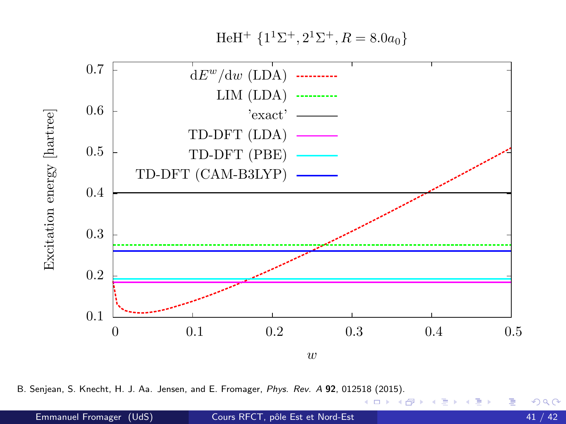HeH<sup>+</sup>  $\{1^1\Sigma^+, 2^1\Sigma^+, R = 8.0a_0\}$ 

<span id="page-40-0"></span>

B. Senjean, S. Knecht, H. J. Aa. Jensen, and E. Fromager, Phys. Rev. A 92, 012518 (2015).

 $\leftarrow$   $\Box$ 

 $299$ 

э ≘⇒